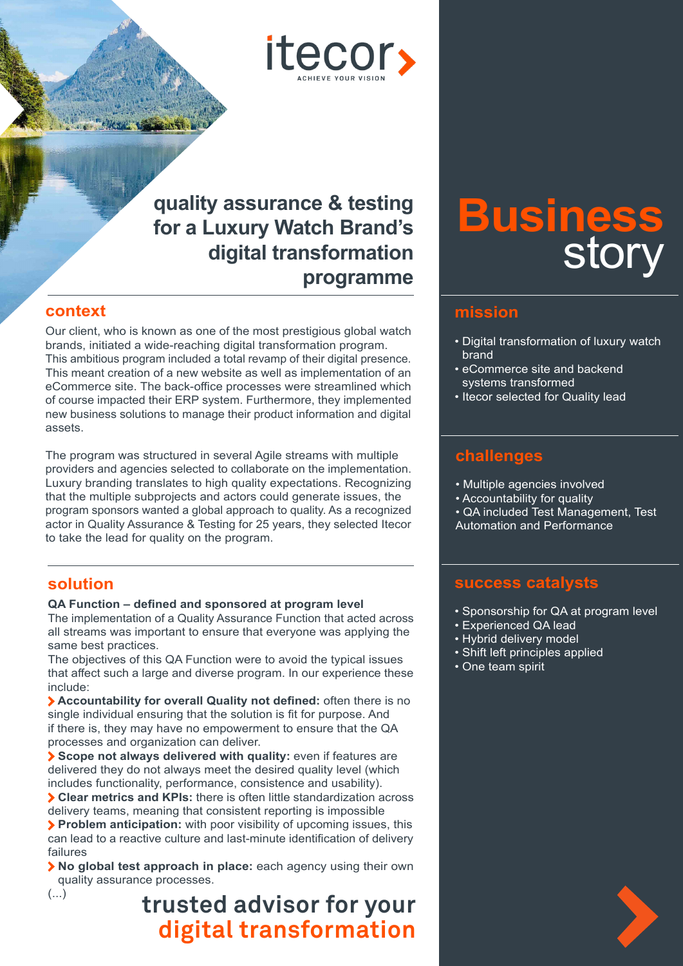itecor,

# **quality assurance & testing for a Luxury Watch Brand's digital transformation programme**

## **context**

Our client, who is known as one of the most prestigious global watch brands, initiated a wide-reaching digital transformation program. This ambitious program included a total revamp of their digital presence. This meant creation of a new website as well as implementation of an eCommerce site. The back-office processes were streamlined which of course impacted their ERP system. Furthermore, they implemented new business solutions to manage their product information and digital assets.

The program was structured in several Agile streams with multiple providers and agencies selected to collaborate on the implementation. Luxury branding translates to high quality expectations. Recognizing that the multiple subprojects and actors could generate issues, the program sponsors wanted a global approach to quality. As a recognized actor in Quality Assurance & Testing for 25 years, they selected Itecor to take the lead for quality on the program.

## **solution**

#### **QA Function – defined and sponsored at program level**

The implementation of a Quality Assurance Function that acted across all streams was important to ensure that everyone was applying the same best practices.

The objectives of this QA Function were to avoid the typical issues that affect such a large and diverse program. In our experience these include:

**Accountability for overall Quality not defined:** often there is no single individual ensuring that the solution is fit for purpose. And if there is, they may have no empowerment to ensure that the QA processes and organization can deliver.

**Scope not always delivered with quality:** even if features are delivered they do not always meet the desired quality level (which includes functionality, performance, consistence and usability).

**Clear metrics and KPIs:** there is often little standardization across delivery teams, meaning that consistent reporting is impossible

**Problem anticipation:** with poor visibility of upcoming issues, this can lead to a reactive culture and last-minute identification of delivery failures

**No global test approach in place:** each agency using their own quality assurance processes.  $\left(\ldots\right)$ 

# **trusted advisor for your digital transformation**

# **Business** story

#### **mission**

- Digital transformation of luxury watch brand
- eCommerce site and backend systems transformed
- Itecor selected for Quality lead

# **challenges**

- Multiple agencies involved
- Accountability for quality
- QA included Test Management, Test Automation and Performance

### **success catalysts**

- Sponsorship for QA at program level
- Experienced QA lead
- Hybrid delivery model
- Shift left principles applied
- One team spirit